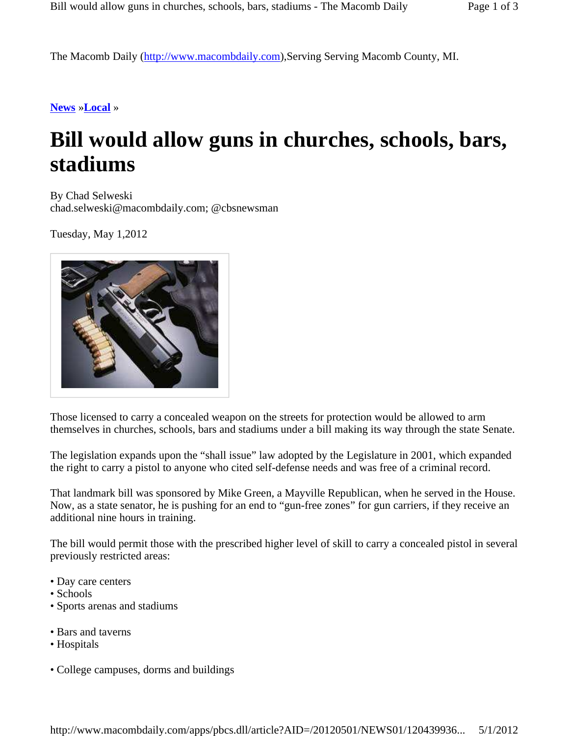The Macomb Daily (http://www.macombdaily.com),Serving Serving Macomb County, MI.

**News** »**Local** »

## **Bill would allow guns in churches, schools, bars, stadiums**

By Chad Selweski chad.selweski@macombdaily.com; @cbsnewsman

Tuesday, May 1,2012



Those licensed to carry a concealed weapon on the streets for protection would be allowed to arm themselves in churches, schools, bars and stadiums under a bill making its way through the state Senate.

The legislation expands upon the "shall issue" law adopted by the Legislature in 2001, which expanded the right to carry a pistol to anyone who cited self-defense needs and was free of a criminal record.

That landmark bill was sponsored by Mike Green, a Mayville Republican, when he served in the House. Now, as a state senator, he is pushing for an end to "gun-free zones" for gun carriers, if they receive an additional nine hours in training.

The bill would permit those with the prescribed higher level of skill to carry a concealed pistol in several previously restricted areas:

- Day care centers
- Schools
- Sports arenas and stadiums
- Bars and taverns
- Hospitals
- College campuses, dorms and buildings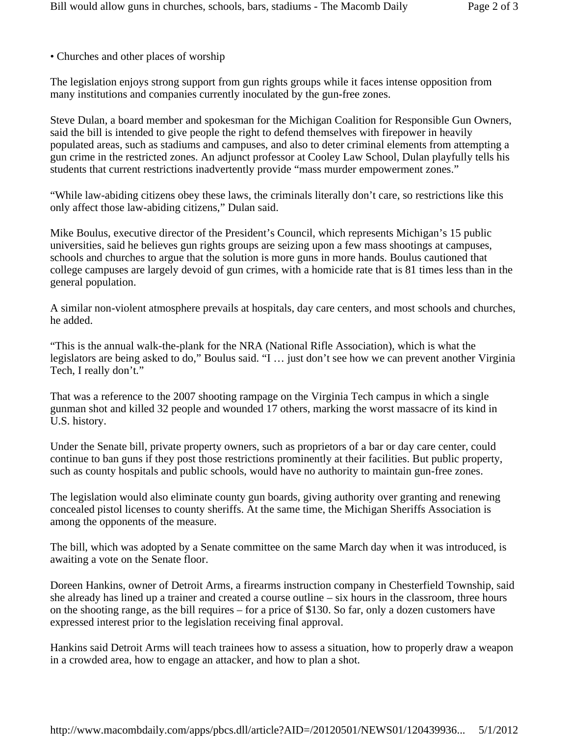• Churches and other places of worship

The legislation enjoys strong support from gun rights groups while it faces intense opposition from many institutions and companies currently inoculated by the gun-free zones.

Steve Dulan, a board member and spokesman for the Michigan Coalition for Responsible Gun Owners, said the bill is intended to give people the right to defend themselves with firepower in heavily populated areas, such as stadiums and campuses, and also to deter criminal elements from attempting a gun crime in the restricted zones. An adjunct professor at Cooley Law School, Dulan playfully tells his students that current restrictions inadvertently provide "mass murder empowerment zones."

"While law-abiding citizens obey these laws, the criminals literally don't care, so restrictions like this only affect those law-abiding citizens," Dulan said.

Mike Boulus, executive director of the President's Council, which represents Michigan's 15 public universities, said he believes gun rights groups are seizing upon a few mass shootings at campuses, schools and churches to argue that the solution is more guns in more hands. Boulus cautioned that college campuses are largely devoid of gun crimes, with a homicide rate that is 81 times less than in the general population.

A similar non-violent atmosphere prevails at hospitals, day care centers, and most schools and churches, he added.

"This is the annual walk-the-plank for the NRA (National Rifle Association), which is what the legislators are being asked to do," Boulus said. "I … just don't see how we can prevent another Virginia Tech, I really don't."

That was a reference to the 2007 shooting rampage on the Virginia Tech campus in which a single gunman shot and killed 32 people and wounded 17 others, marking the worst massacre of its kind in U.S. history.

Under the Senate bill, private property owners, such as proprietors of a bar or day care center, could continue to ban guns if they post those restrictions prominently at their facilities. But public property, such as county hospitals and public schools, would have no authority to maintain gun-free zones.

The legislation would also eliminate county gun boards, giving authority over granting and renewing concealed pistol licenses to county sheriffs. At the same time, the Michigan Sheriffs Association is among the opponents of the measure.

The bill, which was adopted by a Senate committee on the same March day when it was introduced, is awaiting a vote on the Senate floor.

Doreen Hankins, owner of Detroit Arms, a firearms instruction company in Chesterfield Township, said she already has lined up a trainer and created a course outline – six hours in the classroom, three hours on the shooting range, as the bill requires – for a price of \$130. So far, only a dozen customers have expressed interest prior to the legislation receiving final approval.

Hankins said Detroit Arms will teach trainees how to assess a situation, how to properly draw a weapon in a crowded area, how to engage an attacker, and how to plan a shot.